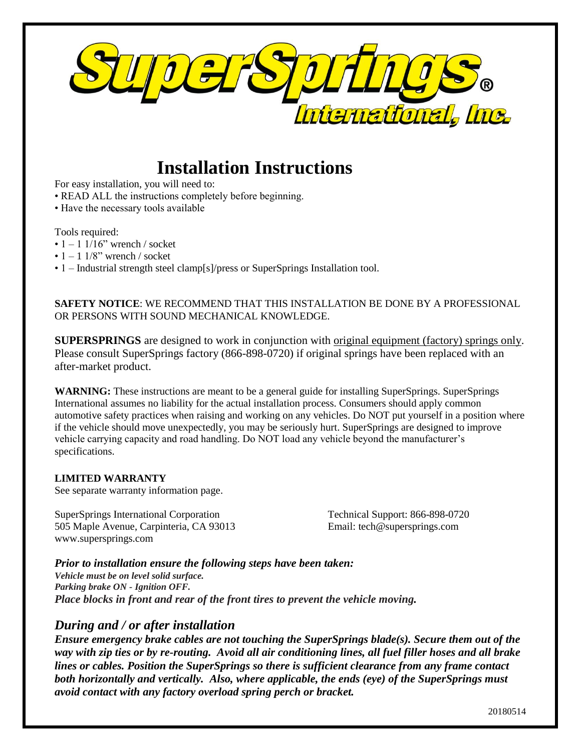

# **Installation Instructions**

For easy installation, you will need to:

- READ ALL the instructions completely before beginning.
- Have the necessary tools available

Tools required:

- $\cdot$  1 1 1/16" wrench / socket
- $\cdot$  1 1 1/8" wrench / socket
- 1 Industrial strength steel clamp[s]/press or SuperSprings Installation tool.

**SAFETY NOTICE**: WE RECOMMEND THAT THIS INSTALLATION BE DONE BY A PROFESSIONAL OR PERSONS WITH SOUND MECHANICAL KNOWLEDGE.

**SUPERSPRINGS** are designed to work in conjunction with original equipment (factory) springs only. Please consult SuperSprings factory (866-898-0720) if original springs have been replaced with an after-market product.

**WARNING:** These instructions are meant to be a general guide for installing SuperSprings. SuperSprings International assumes no liability for the actual installation process. Consumers should apply common automotive safety practices when raising and working on any vehicles. Do NOT put yourself in a position where if the vehicle should move unexpectedly, you may be seriously hurt. SuperSprings are designed to improve vehicle carrying capacity and road handling. Do NOT load any vehicle beyond the manufacturer's specifications.

#### **LIMITED WARRANTY**

See separate warranty information page.

SuperSprings International Corporation Technical Support: 866-898-0720 505 Maple Avenue, Carpinteria, CA 93013 Email: tech@supersprings.com www.supersprings.com

## *Prior to installation ensure the following steps have been taken:*

*Vehicle must be on level solid surface. Parking brake ON - Ignition OFF. Place blocks in front and rear of the front tires to prevent the vehicle moving.*

# *During and / or after installation*

*Ensure emergency brake cables are not touching the SuperSprings blade(s). Secure them out of the way with zip ties or by re-routing. Avoid all air conditioning lines, all fuel filler hoses and all brake lines or cables. Position the SuperSprings so there is sufficient clearance from any frame contact both horizontally and vertically. Also, where applicable, the ends (eye) of the SuperSprings must avoid contact with any factory overload spring perch or bracket.*

20180514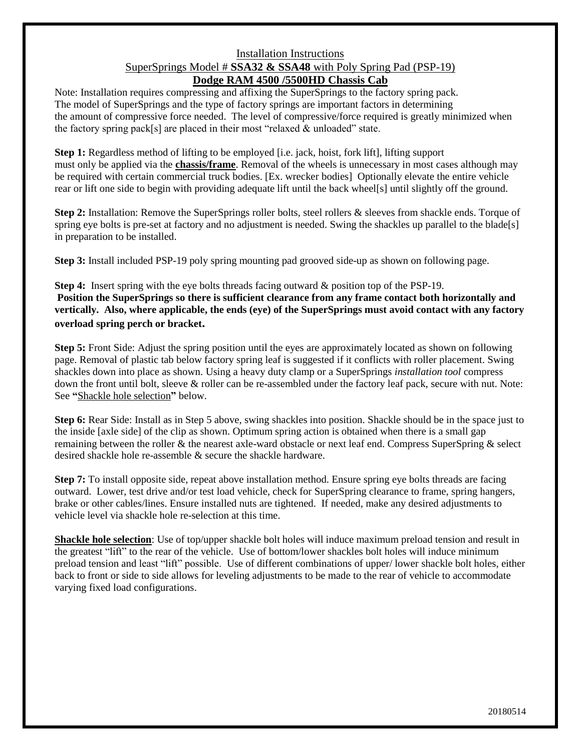### Installation Instructions SuperSprings Model # **SSA32 & SSA48** with Poly Spring Pad (PSP-19) **Dodge RAM 4500 /5500HD Chassis Cab**

Note: Installation requires compressing and affixing the SuperSprings to the factory spring pack. The model of SuperSprings and the type of factory springs are important factors in determining the amount of compressive force needed. The level of compressive/force required is greatly minimized when the factory spring pack[s] are placed in their most "relaxed  $\&$  unloaded" state.

**Step 1:** Regardless method of lifting to be employed [i.e. jack, hoist, fork lift], lifting support must only be applied via the **chassis/frame**. Removal of the wheels is unnecessary in most cases although may be required with certain commercial truck bodies. [Ex. wrecker bodies] Optionally elevate the entire vehicle rear or lift one side to begin with providing adequate lift until the back wheel[s] until slightly off the ground.

**Step 2:** Installation: Remove the SuperSprings roller bolts, steel rollers & sleeves from shackle ends. Torque of spring eye bolts is pre-set at factory and no adjustment is needed. Swing the shackles up parallel to the blade[s] in preparation to be installed.

**Step 3:** Install included PSP-19 poly spring mounting pad grooved side-up as shown on following page.

**Step 4:** Insert spring with the eye bolts threads facing outward & position top of the PSP-19. **Position the SuperSprings so there is sufficient clearance from any frame contact both horizontally and vertically. Also, where applicable, the ends (eye) of the SuperSprings must avoid contact with any factory overload spring perch or bracket.**

**Step 5:** Front Side: Adjust the spring position until the eyes are approximately located as shown on following page. Removal of plastic tab below factory spring leaf is suggested if it conflicts with roller placement. Swing shackles down into place as shown. Using a heavy duty clamp or a SuperSprings *installation tool* compress down the front until bolt, sleeve & roller can be re-assembled under the factory leaf pack, secure with nut. Note: See **"**Shackle hole selection**"** below.

**Step 6:** Rear Side: Install as in Step 5 above, swing shackles into position. Shackle should be in the space just to the inside [axle side] of the clip as shown. Optimum spring action is obtained when there is a small gap remaining between the roller & the nearest axle-ward obstacle or next leaf end. Compress SuperSpring & select desired shackle hole re-assemble & secure the shackle hardware.

**Step 7:** To install opposite side, repeat above installation method. Ensure spring eye bolts threads are facing outward. Lower, test drive and/or test load vehicle, check for SuperSpring clearance to frame, spring hangers, brake or other cables/lines. Ensure installed nuts are tightened. If needed, make any desired adjustments to vehicle level via shackle hole re-selection at this time.

**Shackle hole selection**: Use of top/upper shackle bolt holes will induce maximum preload tension and result in the greatest "lift" to the rear of the vehicle. Use of bottom/lower shackles bolt holes will induce minimum preload tension and least "lift" possible. Use of different combinations of upper/ lower shackle bolt holes, either back to front or side to side allows for leveling adjustments to be made to the rear of vehicle to accommodate varying fixed load configurations.